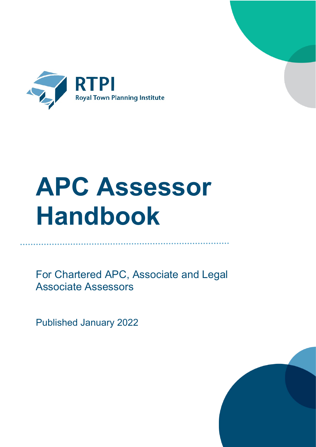

# **APC Assessor Handbook**

For Chartered APC, Associate and Legal Associate Assessors

Published January 2022

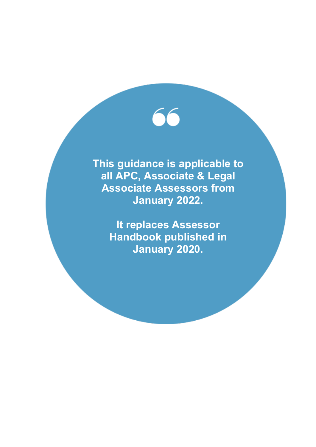**This guidance is applicable to all APC, Associate & Legal Associate Assessors from January 2022.**

> **It replaces Assessor Handbook published in January 2020.**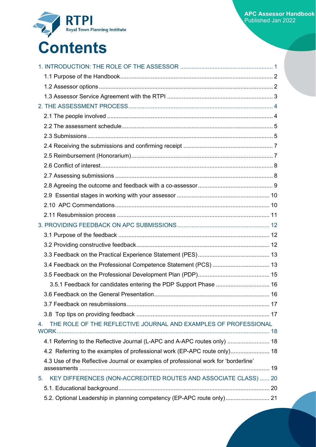

|    | 3.4 Feedback on the Professional Competence Statement (PCS)  13                     |  |
|----|-------------------------------------------------------------------------------------|--|
|    |                                                                                     |  |
|    | 3.5.1 Feedback for candidates entering the PDP Support Phase  16                    |  |
|    |                                                                                     |  |
|    |                                                                                     |  |
|    |                                                                                     |  |
| 4. | THE ROLE OF THE REFLECTIVE JOURNAL AND EXAMPLES OF PROFESSIONAL                     |  |
|    | 4.1 Referring to the Reflective Journal (L-APC and A-APC routes only)  18           |  |
|    | 4.2 Referring to the examples of professional work (EP-APC route only) 18           |  |
|    | 4.3 Use of the Reflective Journal or examples of professional work for 'borderline' |  |
|    | KEY DIFFERENCES (NON-ACCREDITED ROUTES AND ASSOCIATE CLASS)  20                     |  |
| 5. |                                                                                     |  |
|    | 5.2. Optional Leadership in planning competency (EP-APC route only) 21              |  |
|    |                                                                                     |  |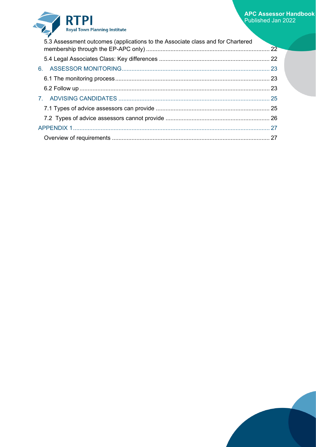### RTPI Royal Town Planning Institute

| 5.3 Assessment outcomes (applications to the Associate class and for Chartered |  |
|--------------------------------------------------------------------------------|--|
|                                                                                |  |
|                                                                                |  |
|                                                                                |  |
|                                                                                |  |
|                                                                                |  |
|                                                                                |  |
|                                                                                |  |
|                                                                                |  |
|                                                                                |  |

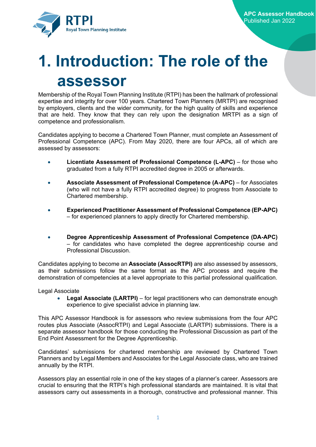

### <span id="page-4-0"></span>**1. Introduction: The role of the assessor**

Membership of the Royal Town Planning Institute (RTPI) has been the hallmark of professional expertise and integrity for over 100 years. Chartered Town Planners (MRTPI) are recognised by employers, clients and the wider community, for the high quality of skills and experience that are held. They know that they can rely upon the designation MRTPI as a sign of competence and professionalism.

Candidates applying to become a Chartered Town Planner, must complete an Assessment of Professional Competence (APC). From May 2020, there are four APCs, all of which are assessed by assessors:

- **Licentiate Assessment of Professional Competence (L-APC)** for those who graduated from a fully RTPI accredited degree in 2005 or afterwards.
- **Associate Assessment of Professional Competence (A-APC)** for Associates (who will not have a fully RTPI accredited degree) to progress from Associate to Chartered membership.
- **Experienced Practitioner Assessment of Professional Competence (EP-APC)** – for experienced planners to apply directly for Chartered membership.
- **Degree Apprenticeship Assessment of Professional Competence (DA-APC)** – for candidates who have completed the degree apprenticeship course and Professional Discussion.

Candidates applying to become an **Associate (AssocRTPI)** are also assessed by assessors, as their submissions follow the same format as the APC process and require the demonstration of competencies at a level appropriate to this partial professional qualification.

Legal Associate

• **Legal Associate (LARTPI)** – for legal practitioners who can demonstrate enough experience to give specialist advice in planning law.

This APC Assessor Handbook is for assessors who review submissions from the four APC routes plus Associate (AssocRTPI) and Legal Associate (LARTPI) submissions. There is a separate assessor handbook for those conducting the Professional Discussion as part of the End Point Assessment for the Degree Apprenticeship.

Candidates' submissions for chartered membership are reviewed by Chartered Town Planners and by Legal Members and Associates for the Legal Associate class, who are trained annually by the RTPI.

Assessors play an essential role in one of the key stages of a planner's career. Assessors are crucial to ensuring that the RTPI's high professional standards are maintained. It is vital that assessors carry out assessments in a thorough, constructive and professional manner. This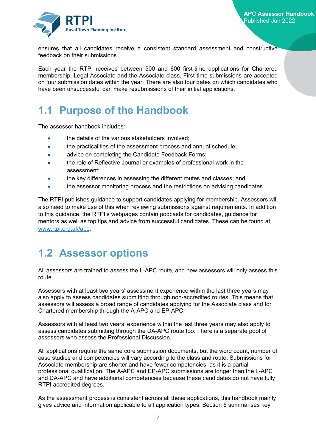

ensures that all candidates receive a consistent standard assessment and constructive feedback on their submissions.

Each year the RTPI receives between 500 and 600 first-time applications for Chartered membership, Legal Associate and the Associate class. First-time submissions are accepted on four submission dates within the year. There are also four dates on which candidates who have been unsuccessful can make resubmissions of their initial applications.

### <span id="page-5-0"></span>**1.1 Purpose of the Handbook**

The assessor handbook includes:

- the details of the various stakeholders involved:
- the practicalities of the assessment process and annual schedule;
- advice on completing the Candidate Feedback Forms;
- the role of Reflective Journal or examples of professional work in the assessment;
- the key differences in assessing the different routes and classes; and
- the assessor monitoring process and the restrictions on advising candidates.

The RTPI publishes guidance to support candidates applying for membership. Assessors will also need to make use of this when reviewing submissions against requirements. In addition to this guidance, the RTPI's webpages contain podcasts for candidates, guidance for mentors as well as top tips and advice from successful candidates. These can be found at: [www.rtpi.org.uk/apc.](http://www.rtpi.org.uk/apc)

### <span id="page-5-1"></span>**1.2 Assessor options**

All assessors are trained to assess the L-APC route, and new assessors will only assess this route.

Assessors with at least two years' assessment experience within the last three years may also apply to assess candidates submitting through non-accredited routes. This means that assessors will assess a broad range of candidates applying for the Associate class and for Chartered membership through the A-APC and EP-APC.

Assessors with at least two years' experience within the last three years may also apply to assess candidates submitting through the DA-APC route too. There is a separate pool of assessors who assess the Professional Discussion.

All applications require the same core submission documents, but the word count, number of case studies and competencies will vary according to the class and route. Submissions for Associate membership are shorter and have fewer competencies, as it is a partial professional qualification. The A-APC and EP-APC submissions are longer than the L-APC and DA-APC and have additional competencies because these candidates do not have fully RTPI accredited degrees.

As the assessment process is consistent across all these applications, this handbook mainly gives advice and information applicable to all application types. Section 5 summarises key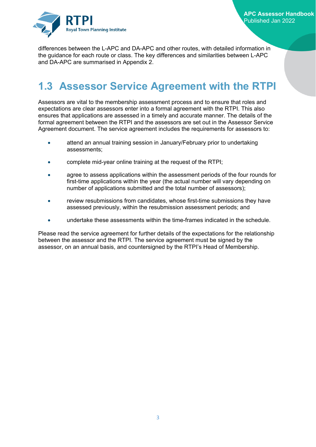

differences between the L-APC and DA-APC and other routes, with detailed information in the guidance for each route or class. The key differences and similarities between L-APC and DA-APC are summarised in Appendix 2.

### <span id="page-6-0"></span>**1.3 Assessor Service Agreement with the RTPI**

Assessors are vital to the membership assessment process and to ensure that roles and expectations are clear assessors enter into a formal agreement with the RTPI. This also ensures that applications are assessed in a timely and accurate manner. The details of the formal agreement between the RTPI and the assessors are set out in the Assessor Service Agreement document. The service agreement includes the requirements for assessors to:

- attend an annual training session in January/February prior to undertaking assessments;
- complete mid-year online training at the request of the RTPI;
- agree to assess applications within the assessment periods of the four rounds for first-time applications within the year (the actual number will vary depending on number of applications submitted and the total number of assessors);
- review resubmissions from candidates, whose first-time submissions they have assessed previously, within the resubmission assessment periods; and
- undertake these assessments within the time-frames indicated in the schedule.

Please read the service agreement for further details of the expectations for the relationship between the assessor and the RTPI. The service agreement must be signed by the assessor, on an annual basis, and countersigned by the RTPI's Head of Membership.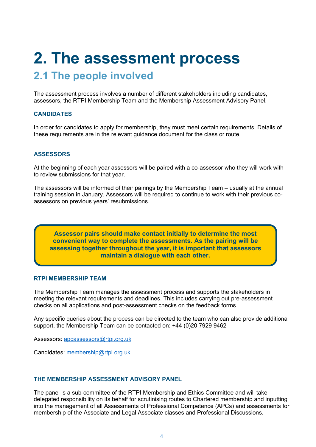### <span id="page-7-0"></span>**2. The assessment process**

### <span id="page-7-1"></span>**2.1 The people involved**

The assessment process involves a number of different stakeholders including candidates, assessors, the RTPI Membership Team and the Membership Assessment Advisory Panel.

#### **CANDIDATES**

In order for candidates to apply for membership, they must meet certain requirements. Details of these requirements are in the relevant guidance document for the class or route.

#### **ASSESSORS**

At the beginning of each year assessors will be paired with a co-assessor who they will work with to review submissions for that year.

The assessors will be informed of their pairings by the Membership Team – usually at the annual training session in January. Assessors will be required to continue to work with their previous coassessors on previous years' resubmissions.

**Assessor pairs should make contact initially to determine the most convenient way to complete the assessments. As the pairing will be assessing together throughout the year, it is important that assessors maintain a dialogue with each other.**

#### **RTPI MEMBERSHIP TEAM**

The Membership Team manages the assessment process and supports the stakeholders in meeting the relevant requirements and deadlines. This includes carrying out pre-assessment checks on all applications and post-assessment checks on the feedback forms.

Any specific queries about the process can be directed to the team who can also provide additional support, the Membership Team can be contacted on: +44 (0)20 7929 9462

Assessors: [apcassessors@rtpi.org.uk](mailto:apcassessors@rtpi.org.uk)

Candidates: [membership@rtpi.org.uk](mailto:membership@rtpi.org.uk)

#### **THE MEMBERSHIP ASSESSMENT ADVISORY PANEL**

The panel is a sub-committee of the RTPI Membership and Ethics Committee and will take delegated responsibility on its behalf for scrutinising routes to Chartered membership and inputting into the management of all Assessments of Professional Competence (APCs) and assessments for membership of the Associate and Legal Associate classes and Professional Discussions.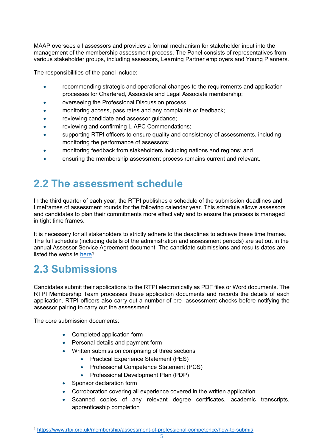MAAP oversees all assessors and provides a formal mechanism for stakeholder input into the management of the membership assessment process. The Panel consists of representatives from various stakeholder groups, including assessors, Learning Partner employers and Young Planners.

The responsibilities of the panel include:

- recommending strategic and operational changes to the requirements and application processes for Chartered, Associate and Legal Associate membership;
- overseeing the Professional Discussion process;
- monitoring access, pass rates and any complaints or feedback;
- reviewing candidate and assessor guidance;
- reviewing and confirming L-APC Commendations;
- supporting RTPI officers to ensure quality and consistency of assessments, including monitoring the performance of assessors;
- monitoring feedback from stakeholders including nations and regions; and
- ensuring the membership assessment process remains current and relevant.

### <span id="page-8-0"></span>**2.2 The assessment schedule**

In the third quarter of each year, the RTPI publishes a schedule of the submission deadlines and timeframes of assessment rounds for the following calendar year. This schedule allows assessors and candidates to plan their commitments more effectively and to ensure the process is managed in tight time frames.

It is necessary for all stakeholders to strictly adhere to the deadlines to achieve these time frames. The full schedule (including details of the administration and assessment periods) are set out in the annual Assessor Service Agreement document. The candidate submissions and results dates are listed the website [here](https://www.rtpi.org.uk/membership/assessment-of-professional-competence/how-to-submit/)<sup>1</sup>.

### <span id="page-8-1"></span>**2.3 Submissions**

Candidates submit their applications to the RTPI electronically as PDF files or Word documents. The RTPI Membership Team processes these application documents and records the details of each application. RTPI officers also carry out a number of pre- assessment checks before notifying the assessor pairing to carry out the assessment.

The core submission documents:

- Completed application form
- Personal details and payment form
- Written submission comprising of three sections
	- Practical Experience Statement (PES)
	- Professional Competence Statement (PCS)
	- Professional Development Plan (PDP)
- Sponsor declaration form
- Corroboration covering all experience covered in the written application
- Scanned copies of any relevant degree certificates, academic transcripts, apprenticeship completion

<span id="page-8-2"></span><sup>1</sup> <https://www.rtpi.org.uk/membership/assessment-of-professional-competence/how-to-submit/>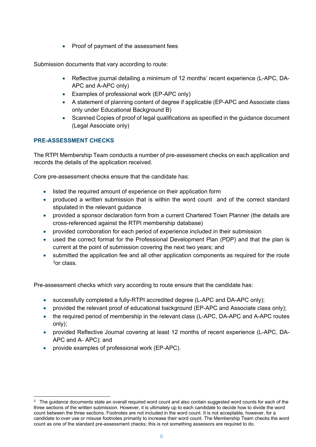• Proof of payment of the assessment fees

Submission documents that vary according to route:

- Reflective journal detailing a minimum of 12 months' recent experience (L-APC, DA-APC and A-APC only)
- Examples of professional work (EP-APC only)
- A statement of planning content of degree if applicable (EP-APC and Associate class only under Educational Background B)
- Scanned Copies of proof of legal qualifications as specified in the quidance document (Legal Associate only)

#### **PRE-ASSESSMENT CHECKS**

The RTPI Membership Team conducts a number of pre-assessment checks on each application and records the details of the application received.

Core pre-assessment checks ensure that the candidate has:

- listed the required amount of experience on their application form
- produced a written submission that is within the word count and of the correct standard stipulated in the relevant guidance
- provided a sponsor declaration form from a current Chartered Town Planner (the details are cross-referenced against the RTPI membership database)
- provided corroboration for each period of experience included in their submission
- used the correct format for the Professional Development Plan (PDP) and that the plan is current at the point of submission covering the next two years; and
- submitted the application fee and all other application components as required for the route [2](#page-9-0)or class.

Pre-assessment checks which vary according to route ensure that the candidate has:

- successfully completed a fully-RTPI accredited degree (L-APC and DA-APC only);
- provided the relevant proof of educational background (EP-APC and Associate class only);
- the required period of membership in the relevant class (L-APC, DA-APC and A-APC routes only);
- provided Reflective Journal covering at least 12 months of recent experience (L-APC, DA-APC and A- APC); and
- provide examples of professional work (EP-APC).

<span id="page-9-0"></span><sup>&</sup>lt;sup>2</sup> The guidance documents state an overall required word count and also contain suggested word counts for each of the three sections of the written submission. However, it is ultimately up to each candidate to decide how to divide the word count between the three sections. Footnotes are not included in the word count. It is not acceptable, however, for a candidate to over use or misuse footnotes primarily to increase their word count. The Membership Team checks the word count as one of the standard pre-assessment checks; this is not something assessors are required to do.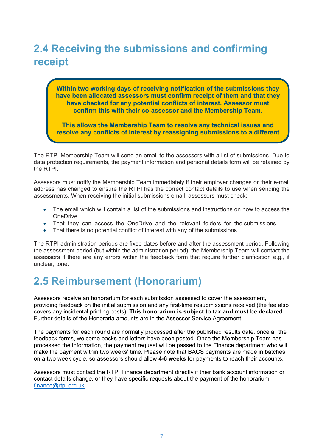### <span id="page-10-0"></span>**2.4 Receiving the submissions and confirming receipt**

**Within two working days of receiving notification of the submissions they have been allocated assessors must confirm receipt of them and that they have checked for any potential conflicts of interest. Assessor must confirm this with their co-assessor and the Membership Team.**

**This allows the Membership Team to resolve any technical issues and resolve any conflicts of interest by reassigning submissions to a different** 

The RTPI Membership Team will send an email to the assessors with a list of submissions. Due to data protection requirements, the payment information and personal details form will be retained by the RTPI.

Assessors must notify the Membership Team immediately if their employer changes or their e-mail address has changed to ensure the RTPI has the correct contact details to use when sending the assessments. When receiving the initial submissions email, assessors must check:

- The email which will contain a list of the submissions and instructions on how to access the **OneDrive**
- That they can access the OneDrive and the relevant folders for the submissions.
- That there is no potential conflict of interest with any of the submissions.

The RTPI administration periods are fixed dates before and after the assessment period. Following the assessment period (but within the administration period), the Membership Team will contact the assessors if there are any errors within the feedback form that require further clarification e.g., if unclear, tone.

### <span id="page-10-1"></span>**2.5 Reimbursement (Honorarium)**

Assessors receive an honorarium for each submission assessed to cover the assessment, providing feedback on the initial submission and any first-time resubmissions received (the fee also covers any incidental printing costs). **This honorarium is subject to tax and must be declared.** Further details of the Honoraria amounts are in the Assessor Service Agreement.

The payments for each round are normally processed after the published results date, once all the feedback forms, welcome packs and letters have been posted. Once the Membership Team has processed the information, the payment request will be passed to the Finance department who will make the payment within two weeks' time. Please note that BACS payments are made in batches on a two week cycle, so assessors should allow **4-6 weeks** for payments to reach their accounts.

Assessors must contact the RTPI Finance department directly if their bank account information or contact details change, or they have specific requests about the payment of the honorarium – [finance@rtpi.org.uk.](mailto:finance@rtpi.org.uk)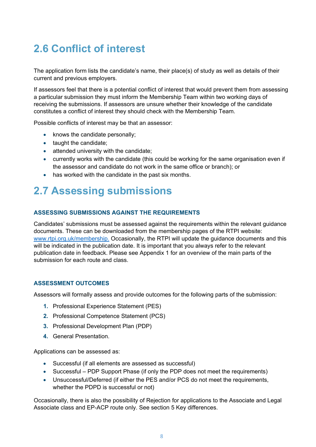### <span id="page-11-0"></span>**2.6 Conflict of interest**

The application form lists the candidate's name, their place(s) of study as well as details of their current and previous employers.

If assessors feel that there is a potential conflict of interest that would prevent them from assessing a particular submission they must inform the Membership Team within two working days of receiving the submissions. If assessors are unsure whether their knowledge of the candidate constitutes a conflict of interest they should check with the Membership Team.

Possible conflicts of interest may be that an assessor:

- knows the candidate personally;
- taught the candidate;
- attended university with the candidate;
- currently works with the candidate (this could be working for the same organisation even if the assessor and candidate do not work in the same office or branch); or
- has worked with the candidate in the past six months.

### <span id="page-11-1"></span>**2.7 Assessing submissions**

#### **ASSESSING SUBMISSIONS AGAINST THE REQUIREMENTS**

Candidates' submissions must be assessed against the requirements within the relevant guidance documents. These can be downloaded from the membership pages of the RTPI website: [www.rtpi.org.uk/membership.](https://www.rtpi.org.uk/membership/) Occasionally, the RTPI will update the guidance documents and this will be indicated in the publication date. It is important that you always refer to the relevant publication date in feedback. Please see Appendix 1 for an overview of the main parts of the submission for each route and class.

#### **ASSESSMENT OUTCOMES**

Assessors will formally assess and provide outcomes for the following parts of the submission:

- **1.** Professional Experience Statement (PES)
- **2.** Professional Competence Statement (PCS)
- **3.** Professional Development Plan (PDP)
- **4.** General Presentation.

Applications can be assessed as:

- Successful (if all elements are assessed as successful)
- Successful PDP Support Phase (if only the PDP does not meet the requirements)
- Unsuccessful/Deferred (if either the PES and/or PCS do not meet the requirements, whether the PDPD is successful or not)

Occasionally, there is also the possibility of Rejection for applications to the Associate and Legal Associate class and EP-ACP route only. See section 5 Key differences.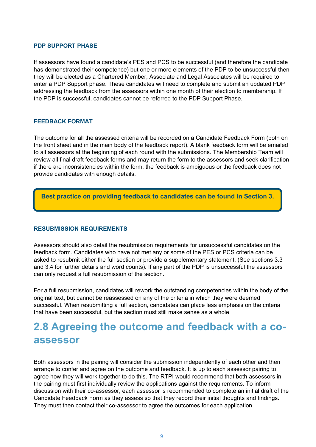#### **PDP SUPPORT PHASE**

If assessors have found a candidate's PES and PCS to be successful (and therefore the candidate has demonstrated their competence) but one or more elements of the PDP to be unsuccessful then they will be elected as a Chartered Member, Associate and Legal Associates will be required to enter a PDP Support phase. These candidates will need to complete and submit an updated PDP addressing the feedback from the assessors within one month of their election to membership. If the PDP is successful, candidates cannot be referred to the PDP Support Phase.

#### **FEEDBACK FORMAT**

The outcome for all the assessed criteria will be recorded on a Candidate Feedback Form (both on the front sheet and in the main body of the feedback report). A blank feedback form will be emailed to all assessors at the beginning of each round with the submissions. The Membership Team will review all final draft feedback forms and may return the form to the assessors and seek clarification if there are inconsistencies within the form, the feedback is ambiguous or the feedback does not provide candidates with enough details.

#### **Best practice on providing feedback to candidates can be found in Section 3.**

#### **RESUBMISSION REQUIREMENTS**

Assessors should also detail the resubmission requirements for unsuccessful candidates on the feedback form. Candidates who have not met any or some of the PES or PCS criteria can be asked to resubmit either the full section or provide a supplementary statement. (See sections 3.3 and 3.4 for further details and word counts). If any part of the PDP is unsuccessful the assessors can only request a full resubmission of the section.

For a full resubmission, candidates will rework the outstanding competencies within the body of the original text, but cannot be reassessed on any of the criteria in which they were deemed successful. When resubmitting a full section, candidates can place less emphasis on the criteria that have been successful, but the section must still make sense as a whole.

### <span id="page-12-0"></span>**2.8 Agreeing the outcome and feedback with a coassessor**

Both assessors in the pairing will consider the submission independently of each other and then arrange to confer and agree on the outcome and feedback. It is up to each assessor pairing to agree how they will work together to do this. The RTPI would recommend that both assessors in the pairing must first individually review the applications against the requirements. To inform discussion with their co-assessor, each assessor is recommended to complete an initial draft of the Candidate Feedback Form as they assess so that they record their initial thoughts and findings. They must then contact their co-assessor to agree the outcomes for each application.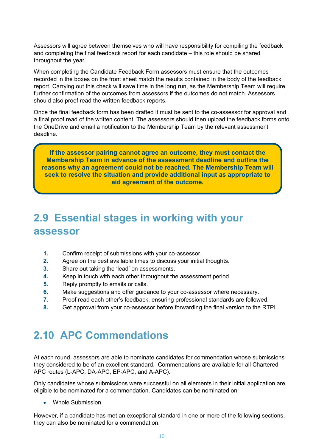Assessors will agree between themselves who will have responsibility for compiling the feedback and completing the final feedback report for each candidate – this role should be shared throughout the year.

When completing the Candidate Feedback Form assessors must ensure that the outcomes recorded in the boxes on the front sheet match the results contained in the body of the feedback report. Carrying out this check will save time in the long run, as the Membership Team will require further confirmation of the outcomes from assessors if the outcomes do not match. Assessors should also proof read the written feedback reports.

Once the final feedback form has been drafted it must be sent to the co-assessor for approval and a final proof read of the written content. The assessors should then upload the feedback forms onto the OneDrive and email a notification to the Membership Team by the relevant assessment deadline.

**If the assessor pairing cannot agree an outcome, they must contact the Membership Team in advance of the assessment deadline and outline the reasons why an agreement could not be reached. The Membership Team will seek to resolve the situation and provide additional input as appropriate to aid agreement of the outcome.**

### <span id="page-13-0"></span>**2.9 Essential stages in working with your assessor**

- **1.** Confirm receipt of submissions with your co-assessor.
- **2.** Agree on the best available times to discuss your initial thoughts.
- **3.** Share out taking the 'lead' on assessments.
- **4.** Keep in touch with each other throughout the assessment period.
- **5.** Reply promptly to emails or calls.
- **6.** Make suggestions and offer guidance to your co-assessor where necessary.
- **7.** Proof read each other's feedback, ensuring professional standards are followed.
- **8.** Get approval from your co-assessor before forwarding the final version to the RTPI.

### <span id="page-13-1"></span>**2.10 APC Commendations**

At each round, assessors are able to nominate candidates for commendation whose submissions they considered to be of an excellent standard. Commendations are available for all Chartered APC routes (L-APC, DA-APC, EP-APC, and A-APC).

Only candidates whose submissions were successful on all elements in their initial application are eligible to be nominated for a commendation. Candidates can be nominated on:

• Whole Submission

However, if a candidate has met an exceptional standard in one or more of the following sections, they can also be nominated for a commendation.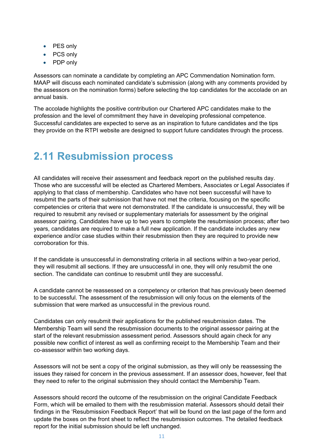- PES only
- PCS only
- <span id="page-14-0"></span>• PDP only

Assessors can nominate a candidate by completing an APC Commendation Nomination form. MAAP will discuss each nominated candidate's submission (along with any comments provided by the assessors on the nomination forms) before selecting the top candidates for the accolade on an annual basis.

The accolade highlights the positive contribution our Chartered APC candidates make to the profession and the level of commitment they have in developing professional competence. Successful candidates are expected to serve as an inspiration to future candidates and the tips they provide on the RTPI website are designed to support future candidates through the process.

### **2.11 Resubmission process**

All candidates will receive their assessment and feedback report on the published results day. Those who are successful will be elected as Chartered Members, Associates or Legal Associates if applying to that class of membership. Candidates who have not been successful will have to resubmit the parts of their submission that have not met the criteria, focusing on the specific competencies or criteria that were not demonstrated. If the candidate is unsuccessful, they will be required to resubmit any revised or supplementary materials for assessment by the original assessor pairing. Candidates have up to two years to complete the resubmission process; after two years, candidates are required to make a full new application. If the candidate includes any new experience and/or case studies within their resubmission then they are required to provide new corroboration for this.

If the candidate is unsuccessful in demonstrating criteria in all sections within a two-year period, they will resubmit all sections. If they are unsuccessful in one, they will only resubmit the one section. The candidate can continue to resubmit until they are successful.

A candidate cannot be reassessed on a competency or criterion that has previously been deemed to be successful. The assessment of the resubmission will only focus on the elements of the submission that were marked as unsuccessful in the previous round.

Candidates can only resubmit their applications for the published resubmission dates. The Membership Team will send the resubmission documents to the original assessor pairing at the start of the relevant resubmission assessment period. Assessors should again check for any possible new conflict of interest as well as confirming receipt to the Membership Team and their co-assessor within two working days.

Assessors will not be sent a copy of the original submission, as they will only be reassessing the issues they raised for concern in the previous assessment. If an assessor does, however, feel that they need to refer to the original submission they should contact the Membership Team.

Assessors should record the outcome of the resubmission on the original Candidate Feedback Form, which will be emailed to them with the resubmission material. Assessors should detail their findings in the 'Resubmission Feedback Report' that will be found on the last page of the form and update the boxes on the front sheet to reflect the resubmission outcomes. The detailed feedback report for the initial submission should be left unchanged.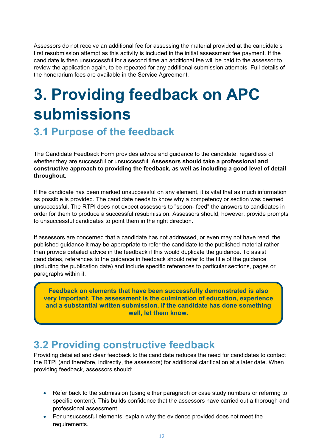Assessors do not receive an additional fee for assessing the material provided at the candidate's first resubmission attempt as this activity is included in the initial assessment fee payment. If the candidate is then unsuccessful for a second time an additional fee will be paid to the assessor to review the application again, to be repeated for any additional submission attempts. Full details of the honorarium fees are available in the Service Agreement.

### <span id="page-15-0"></span>**3. Providing feedback on APC submissions**

### <span id="page-15-1"></span>**3.1 Purpose of the feedback**

The Candidate Feedback Form provides advice and guidance to the candidate, regardless of whether they are successful or unsuccessful. **Assessors should take a professional and constructive approach to providing the feedback, as well as including a good level of detail throughout.**

If the candidate has been marked unsuccessful on any element, it is vital that as much information as possible is provided. The candidate needs to know why a competency or section was deemed unsuccessful. The RTPI does not expect assessors to "spoon- feed" the answers to candidates in order for them to produce a successful resubmission. Assessors should, however, provide prompts to unsuccessful candidates to point them in the right direction.

If assessors are concerned that a candidate has not addressed, or even may not have read, the published guidance it may be appropriate to refer the candidate to the published material rather than provide detailed advice in the feedback if this would duplicate the guidance. To assist candidates, references to the guidance in feedback should refer to the title of the guidance (including the publication date) and include specific references to particular sections, pages or paragraphs within it.

**Feedback on elements that have been successfully demonstrated is also very important. The assessment is the culmination of education, experience and a substantial written submission. If the candidate has done something well, let them know.**

### <span id="page-15-2"></span>**3.2 Providing constructive feedback**

Providing detailed and clear feedback to the candidate reduces the need for candidates to contact the RTPI (and therefore, indirectly, the assessors) for additional clarification at a later date. When providing feedback, assessors should:

- Refer back to the submission (using either paragraph or case study numbers or referring to specific content). This builds confidence that the assessors have carried out a thorough and professional assessment.
- For unsuccessful elements, explain why the evidence provided does not meet the requirements.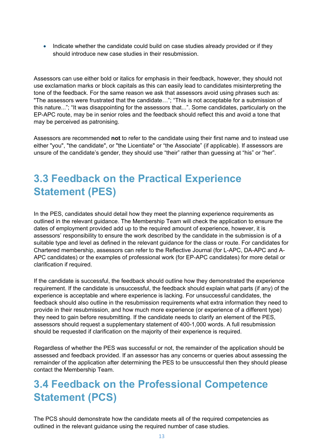• Indicate whether the candidate could build on case studies already provided or if they should introduce new case studies in their resubmission.

Assessors can use either bold or italics for emphasis in their feedback, however, they should not use exclamation marks or block capitals as this can easily lead to candidates misinterpreting the tone of the feedback. For the same reason we ask that assessors avoid using phrases such as: "The assessors were frustrated that the candidate…"; "This is not acceptable for a submission of this nature..."; "It was disappointing for the assessors that...". Some candidates, particularly on the EP-APC route, may be in senior roles and the feedback should reflect this and avoid a tone that may be perceived as patronising.

Assessors are recommended **not** to refer to the candidate using their first name and to instead use either "you", "the candidate", or "the Licentiate" or "the Associate" (if applicable). If assessors are unsure of the candidate's gender, they should use "their" rather than guessing at "his" or "her".

### <span id="page-16-0"></span>**3.3 Feedback on the Practical Experience Statement (PES)**

In the PES, candidates should detail how they meet the planning experience requirements as outlined in the relevant guidance. The Membership Team will check the application to ensure the dates of employment provided add up to the required amount of experience, however, it is assessors' responsibility to ensure the work described by the candidate in the submission is of a suitable type and level as defined in the relevant guidance for the class or route. For candidates for Chartered membership, assessors can refer to the Reflective Journal (for L-APC, DA-APC and A-APC candidates) or the examples of professional work (for EP-APC candidates) for more detail or clarification if required.

If the candidate is successful, the feedback should outline how they demonstrated the experience requirement. If the candidate is unsuccessful, the feedback should explain what parts (if any) of the experience is acceptable and where experience is lacking. For unsuccessful candidates, the feedback should also outline in the resubmission requirements what extra information they need to provide in their resubmission, and how much more experience (or experience of a different type) they need to gain before resubmitting. If the candidate needs to clarify an element of the PES, assessors should request a supplementary statement of 400-1,000 words. A full resubmission should be requested if clarification on the majority of their experience is required.

Regardless of whether the PES was successful or not, the remainder of the application should be assessed and feedback provided. If an assessor has any concerns or queries about assessing the remainder of the application after determining the PES to be unsuccessful then they should please contact the Membership Team.

### <span id="page-16-1"></span>**3.4 Feedback on the Professional Competence Statement (PCS)**

The PCS should demonstrate how the candidate meets all of the required competencies as outlined in the relevant guidance using the required number of case studies.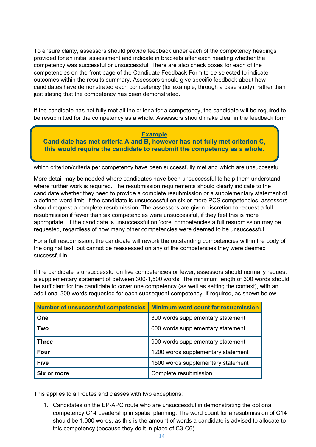To ensure clarity, assessors should provide feedback under each of the competency headings provided for an initial assessment and indicate in brackets after each heading whether the competency was successful or unsuccessful. There are also check boxes for each of the competencies on the front page of the Candidate Feedback Form to be selected to indicate outcomes within the results summary. Assessors should give specific feedback about how candidates have demonstrated each competency (for example, through a case study), rather than just stating that the competency has been demonstrated.

If the candidate has not fully met all the criteria for a competency, the candidate will be required to be resubmitted for the competency as a whole. Assessors should make clear in the feedback form

**Example Candidate has met criteria A and B, however has not fully met criterion C, this would require the candidate to resubmit the competency as a whole.**

which criterion/criteria per competency have been successfully met and which are unsuccessful.

More detail may be needed where candidates have been unsuccessful to help them understand where further work is required. The resubmission requirements should clearly indicate to the candidate whether they need to provide a complete resubmission or a supplementary statement of a defined word limit. If the candidate is unsuccessful on six or more PCS competencies, assessors should request a complete resubmission. The assessors are given discretion to request a full resubmission if fewer than six competencies were unsuccessful, if they feel this is more appropriate. If the candidate is unsuccessful on 'core' competencies a full resubmission may be requested, regardless of how many other competencies were deemed to be unsuccessful.

For a full resubmission, the candidate will rework the outstanding competencies within the body of the original text, but cannot be reassessed on any of the competencies they were deemed successful in.

If the candidate is unsuccessful on five competencies or fewer, assessors should normally request a supplementary statement of between 300-1,500 words. The minimum length of 300 words should be sufficient for the candidate to cover one competency (as well as setting the context), with an additional 300 words requested for each subsequent competency, if required, as shown below:

| <b>Number of unsuccessful competencies</b> | <b>Minimum word count for resubmission</b> |
|--------------------------------------------|--------------------------------------------|
| One                                        | 300 words supplementary statement          |
| Two                                        | 600 words supplementary statement          |
| <b>Three</b>                               | 900 words supplementary statement          |
| Four                                       | 1200 words supplementary statement         |
| <b>Five</b>                                | 1500 words supplementary statement         |
| Six or more                                | Complete resubmission                      |

This applies to all routes and classes with two exceptions:

1. Candidates on the EP-APC route who are unsuccessful in demonstrating the optional competency C14 Leadership in spatial planning. The word count for a resubmission of C14 should be 1,000 words, as this is the amount of words a candidate is advised to allocate to this competency (because they do it in place of C3-C6).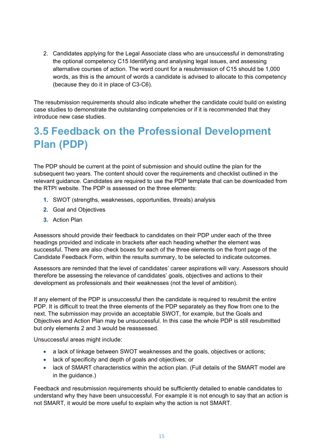2. Candidates applying for the Legal Associate class who are unsuccessful in demonstrating the optional competency C15 Identifying and analysing legal issues, and assessing alternative courses of action. The word count for a resubmission of C15 should be 1,000 words, as this is the amount of words a candidate is advised to allocate to this competency (because they do it in place of C3-C6).

The resubmission requirements should also indicate whether the candidate could build on existing case studies to demonstrate the outstanding competencies or if it is recommended that they introduce new case studies.

### <span id="page-18-0"></span>**3.5 Feedback on the Professional Development Plan (PDP)**

The PDP should be current at the point of submission and should outline the plan for the subsequent two years. The content should cover the requirements and checklist outlined in the relevant guidance. Candidates are required to use the PDP template that can be downloaded from the RTPI website. The PDP is assessed on the three elements:

- **1.** SWOT (strengths, weaknesses, opportunities, threats) analysis
- **2.** Goal and Objectives
- **3.** Action Plan

Assessors should provide their feedback to candidates on their PDP under each of the three headings provided and indicate in brackets after each heading whether the element was successful. There are also check boxes for each of the three elements on the front page of the Candidate Feedback Form, within the results summary, to be selected to indicate outcomes.

Assessors are reminded that the level of candidates' career aspirations will vary. Assessors should therefore be assessing the relevance of candidates' goals, objectives and actions to their development as professionals and their weaknesses (not the level of ambition).

If any element of the PDP is unsuccessful then the candidate is required to resubmit the entire PDP. It is difficult to treat the three elements of the PDP separately as they flow from one to the next. The submission may provide an acceptable SWOT, for example, but the Goals and Objectives and Action Plan may be unsuccessful. In this case the whole PDP is still resubmitted but only elements 2 and 3 would be reassessed.

Unsuccessful areas might include:

- a lack of linkage between SWOT weaknesses and the goals, objectives or actions;
- lack of specificity and depth of goals and objectives; or
- lack of SMART characteristics within the action plan. (Full details of the SMART model are in the guidance.)

Feedback and resubmission requirements should be sufficiently detailed to enable candidates to understand why they have been unsuccessful. For example it is not enough to say that an action is not SMART, it would be more useful to explain why the action is not SMART.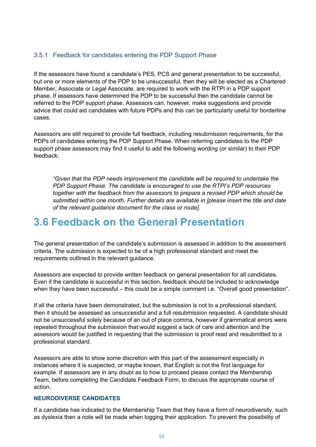#### <span id="page-19-0"></span>3.5.1 Feedback for candidates entering the PDP Support Phase

If the assessors have found a candidate's PES, PCS and general presentation to be successful, but one or more elements of the PDP to be unsuccessful, then they will be elected as a Chartered Member, Associate or Legal Associate, are required to work with the RTPI in a PDP support phase. If assessors have determined the PDP to be successful then the candidate cannot be referred to the PDP support phase. Assessors can, however, make suggestions and provide advice that could aid candidates with future PDPs and this can be particularly useful for borderline cases.

Assessors are still required to provide full feedback, including resubmission requirements, for the PDPs of candidates entering the PDP Support Phase. When referring candidates to the PDP support phase assessors may find it useful to add the following wording (or similar) to their PDP feedback:

*"Given that the PDP needs improvement the candidate will be required to undertake the PDP Support Phase. The candidate is encouraged to use the RTPI's PDP resources together with the feedback from the assessors to prepare a revised PDP which should be submitted within one month. Further details are available in [please insert the title and date of the relevant guidance document for the class or route].* 

### <span id="page-19-1"></span>**3.6 Feedback on the General Presentation**

The general presentation of the candidate's submission is assessed in addition to the assessment criteria. The submission is expected to be of a high professional standard and meet the requirements outlined in the relevant guidance.

Assessors are expected to provide written feedback on general presentation for all candidates. Even if the candidate is successful in this section, feedback should be included to acknowledge when they have been successful – this could be a simple comment i.e. "Overall good presentation".

If all the criteria have been demonstrated, but the submission is not to a professional standard, then it should be assessed as unsuccessful and a full resubmission requested. A candidate should not be unsuccessful solely because of an out of place comma, however if grammatical errors were repeated throughout the submission that would suggest a lack of care and attention and the assessors would be justified in requesting that the submission is proof read and resubmitted to a professional standard.

Assessors are able to show some discretion with this part of the assessment especially in instances where it is suspected, or maybe known, that English is not the first language for example. If assessors are in any doubt as to how to proceed please contact the Membership Team, before completing the Candidate Feedback Form, to discuss the appropriate course of action.

#### **NEURODIVERSE CANDIDATES**

If a candidate has indicated to the Membership Team that they have a form of neurodiversity, such as dyslexia then a note will be made when logging their application. To prevent the possibility of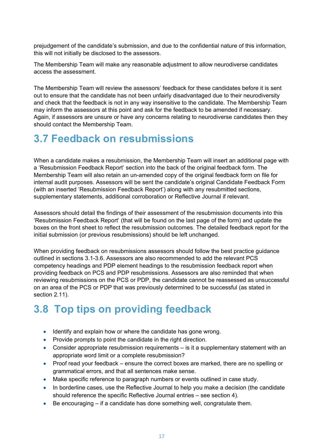prejudgement of the candidate's submission, and due to the confidential nature of this information, this will not initially be disclosed to the assessors.

The Membership Team will make any reasonable adjustment to allow neurodiverse candidates access the assessment.

The Membership Team will review the assessors' feedback for these candidates before it is sent out to ensure that the candidate has not been unfairly disadvantaged due to their neurodiversity and check that the feedback is not in any way insensitive to the candidate. The Membership Team may inform the assessors at this point and ask for the feedback to be amended if necessary. Again, if assessors are unsure or have any concerns relating to neurodiverse candidates then they should contact the Membership Team.

### <span id="page-20-0"></span>**3.7 Feedback on resubmissions**

When a candidate makes a resubmission, the Membership Team will insert an additional page with a 'Resubmission Feedback Report' section into the back of the original feedback form. The Membership Team will also retain an un-amended copy of the original feedback form on file for internal audit purposes. Assessors will be sent the candidate's original Candidate Feedback Form (with an inserted 'Resubmission Feedback Report') along with any resubmitted sections, supplementary statements, additional corroboration or Reflective Journal if relevant.

Assessors should detail the findings of their assessment of the resubmission documents into this 'Resubmission Feedback Report' (that will be found on the last page of the form) and update the boxes on the front sheet to reflect the resubmission outcomes. The detailed feedback report for the initial submission (or previous resubmissions) should be left unchanged.

When providing feedback on resubmissions assessors should follow the best practice guidance outlined in sections 3.1-3.6. Assessors are also recommended to add the relevant PCS competency headings and PDP element headings to the resubmission feedback report when providing feedback on PCS and PDP resubmissions. Assessors are also reminded that when reviewing resubmissions on the PCS or PDP, the candidate cannot be reassessed as unsuccessful on an area of the PCS or PDP that was previously determined to be successful (as stated in section 2.11).

### <span id="page-20-1"></span>**3.8 Top tips on providing feedback**

- Identify and explain how or where the candidate has gone wrong.
- Provide prompts to point the candidate in the right direction.
- Consider appropriate resubmission requirements is it a supplementary statement with an appropriate word limit or a complete resubmission?
- Proof read your feedback ensure the correct boxes are marked, there are no spelling or grammatical errors, and that all sentences make sense.
- Make specific reference to paragraph numbers or events outlined in case study.
- In borderline cases, use the Reflective Journal to help you make a decision (the candidate should reference the specific Reflective Journal entries – see section 4).
- Be encouraging if a candidate has done something well, congratulate them.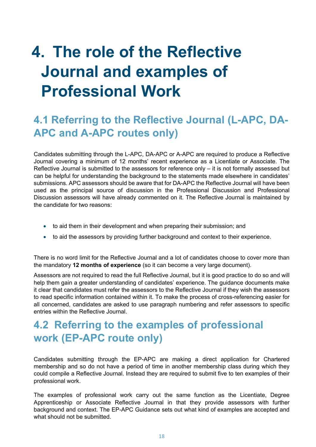### <span id="page-21-0"></span>**4. The role of the Reflective Journal and examples of Professional Work**

### <span id="page-21-1"></span>**4.1 Referring to the Reflective Journal (L-APC, DA-APC and A-APC routes only)**

Candidates submitting through the L-APC, DA-APC or A-APC are required to produce a Reflective Journal covering a minimum of 12 months' recent experience as a Licentiate or Associate. The Reflective Journal is submitted to the assessors for reference only – it is not formally assessed but can be helpful for understanding the background to the statements made elsewhere in candidates' submissions. APC assessors should be aware that for DA-APC the Reflective Journal will have been used as the principal source of discussion in the Professional Discussion and Professional Discussion assessors will have already commented on it. The Reflective Journal is maintained by the candidate for two reasons:

- to aid them in their development and when preparing their submission; and
- to aid the assessors by providing further background and context to their experience.

There is no word limit for the Reflective Journal and a lot of candidates choose to cover more than the mandatory **12 months of experience** (so it can become a very large document).

Assessors are not required to read the full Reflective Journal, but it is good practice to do so and will help them gain a greater understanding of candidates' experience. The guidance documents make it clear that candidates must refer the assessors to the Reflective Journal if they wish the assessors to read specific information contained within it. To make the process of cross-referencing easier for all concerned, candidates are asked to use paragraph numbering and refer assessors to specific entries within the Reflective Journal.

### <span id="page-21-2"></span>**4.2 Referring to the examples of professional work (EP-APC route only)**

Candidates submitting through the EP-APC are making a direct application for Chartered membership and so do not have a period of time in another membership class during which they could compile a Reflective Journal. Instead they are required to submit five to ten examples of their professional work.

The examples of professional work carry out the same function as the Licentiate, Degree Apprenticeship or Associate Reflective Journal in that they provide assessors with further background and context. The EP-APC Guidance sets out what kind of examples are accepted and what should not be submitted.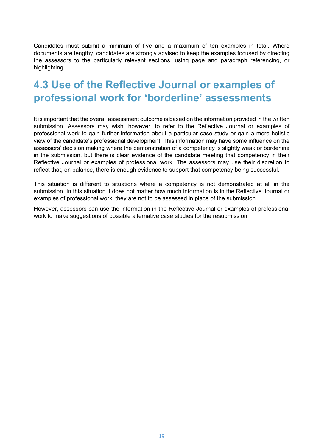Candidates must submit a minimum of five and a maximum of ten examples in total. Where documents are lengthy, candidates are strongly advised to keep the examples focused by directing the assessors to the particularly relevant sections, using page and paragraph referencing, or highlighting.

### <span id="page-22-0"></span>**4.3 Use of the Reflective Journal or examples of professional work for 'borderline' assessments**

It is important that the overall assessment outcome is based on the information provided in the written submission. Assessors may wish, however, to refer to the Reflective Journal or examples of professional work to gain further information about a particular case study or gain a more holistic view of the candidate's professional development. This information may have some influence on the assessors' decision making where the demonstration of a competency is slightly weak or borderline in the submission, but there is clear evidence of the candidate meeting that competency in their Reflective Journal or examples of professional work. The assessors may use their discretion to reflect that, on balance, there is enough evidence to support that competency being successful.

This situation is different to situations where a competency is not demonstrated at all in the submission. In this situation it does not matter how much information is in the Reflective Journal or examples of professional work, they are not to be assessed in place of the submission.

However, assessors can use the information in the Reflective Journal or examples of professional work to make suggestions of possible alternative case studies for the resubmission.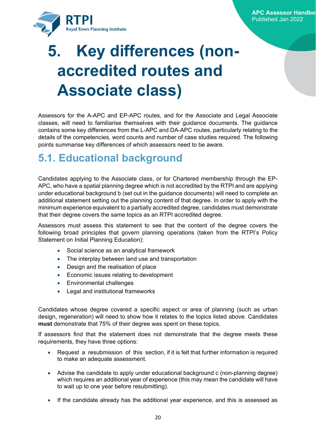

### <span id="page-23-0"></span>**5. Key differences (nonaccredited routes and Associate class)**

Assessors for the A-APC and EP-APC routes, and for the Associate and Legal Associate classes, will need to familiarise themselves with their guidance documents. The guidance contains some key differences from the L-APC and DA-APC routes, particularly relating to the details of the competencies, word counts and number of case studies required. The following points summarise key differences of which assessors need to be aware.

### <span id="page-23-1"></span>**5.1. Educational background**

Candidates applying to the Associate class, or for Chartered membership through the EP-APC, who have a spatial planning degree which is not accredited by the RTPI and are applying under educational background b (set out in the guidance documents) will need to complete an additional statement setting out the planning content of that degree. In order to apply with the minimum experience equivalent to a partially accredited degree, candidates must demonstrate that their degree covers the same topics as an RTPI accredited degree.

Assessors must assess this statement to see that the content of the degree covers the following broad principles that govern planning operations (taken from the RTPI's Policy Statement on Initial Planning Education):

- Social science as an analytical framework
- The interplay between land use and transportation
- Design and the realisation of place
- Economic issues relating to development
- Environmental challenges
- Legal and institutional frameworks

Candidates whose degree covered a specific aspect or area of planning (such as urban design, regeneration) will need to show how it relates to the topics listed above. Candidates **must** demonstrate that 75% of their degree was spent on these topics.

If assessors find that the statement does not demonstrate that the degree meets these requirements, they have three options:

- Request a resubmission of this section, if it is felt that further information is required to make an adequate assessment.
- Advise the candidate to apply under educational background c (non-planning degree) which requires an additional year of experience (this may mean the candidate will have to wait up to one year before resubmitting).
- If the candidate already has the additional year experience, and this is assessed as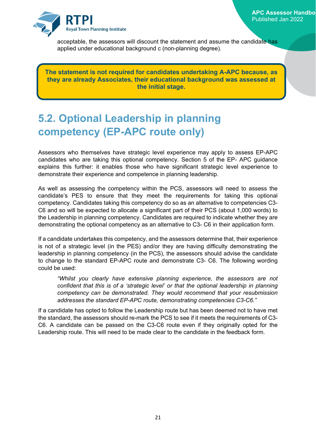

acceptable, the assessors will discount the statement and assume the candidate has applied under educational background c (non-planning degree).

**The statement is not required for candidates undertaking A-APC because, as they are already Associates, their educational background was assessed at the initial stage.**

### <span id="page-24-0"></span>**5.2. Optional Leadership in planning competency (EP-APC route only)**

Assessors who themselves have strategic level experience may apply to assess EP-APC candidates who are taking this optional competency. Section 5 of the EP- APC guidance explains this further: it enables those who have significant strategic level experience to demonstrate their experience and competence in planning leadership.

As well as assessing the competency within the PCS, assessors will need to assess the candidate's PES to ensure that they meet the requirements for taking this optional competency. Candidates taking this competency do so as an alternative to competencies C3- C6 and so will be expected to allocate a significant part of their PCS (about 1,000 words) to the Leadership in planning competency. Candidates are required to indicate whether they are demonstrating the optional competency as an alternative to C3- C6 in their application form.

If a candidate undertakes this competency, and the assessors determine that, their experience is not of a strategic level (in the PES) and/or they are having difficulty demonstrating the leadership in planning competency (in the PCS), the assessors should advise the candidate to change to the standard EP-APC route and demonstrate C3- C6. The following wording could be used:

*"Whilst you clearly have extensive planning experience, the assessors are not confident that this is of a 'strategic level' or that the optional leadership in planning competency can be demonstrated. They would recommend that your resubmission addresses the standard EP-APC route, demonstrating competencies C3-C6."*

If a candidate has opted to follow the Leadership route but has been deemed not to have met the standard, the assessors should re-mark the PCS to see if it meets the requirements of C3- C6. A candidate can be passed on the C3-C6 route even if they originally opted for the Leadership route. This will need to be made clear to the candidate in the feedback form.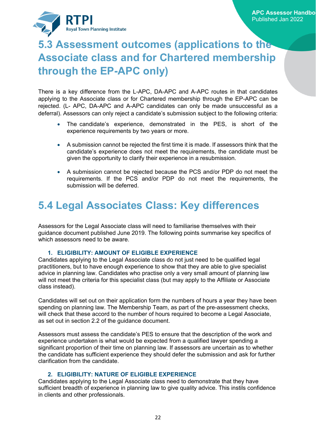

### <span id="page-25-0"></span>**5.3 Assessment outcomes (applications to the Associate class and for Chartered membership through the EP-APC only)**

There is a key difference from the L-APC, DA-APC and A-APC routes in that candidates applying to the Associate class or for Chartered membership through the EP-APC can be rejected. (L- APC, DA-APC and A-APC candidates can only be made unsuccessful as a deferral). Assessors can only reject a candidate's submission subject to the following criteria:

- The candidate's experience, demonstrated in the PES, is short of the experience requirements by two years or more.
- A submission cannot be rejected the first time it is made. If assessors think that the candidate's experience does not meet the requirements, the candidate must be given the opportunity to clarify their experience in a resubmission.
- A submission cannot be rejected because the PCS and/or PDP do not meet the requirements. If the PCS and/or PDP do not meet the requirements, the submission will be deferred.

### <span id="page-25-1"></span>**5.4 Legal Associates Class: Key differences**

Assessors for the Legal Associate class will need to familiarise themselves with their guidance document published June 2019. The following points summarise key specifics of which assessors need to be aware.

#### **1. ELIGIBILITY: AMOUNT OF ELIGIBLE EXPERIENCE**

Candidates applying to the Legal Associate class do not just need to be qualified legal practitioners, but to have enough experience to show that they are able to give specialist advice in planning law. Candidates who practise only a very small amount of planning law will not meet the criteria for this specialist class (but may apply to the Affiliate or Associate class instead).

Candidates will set out on their application form the numbers of hours a year they have been spending on planning law. The Membership Team, as part of the pre-assessment checks, will check that these accord to the number of hours required to become a Legal Associate, as set out in section 2.2 of the guidance document.

Assessors must assess the candidate's PES to ensure that the description of the work and experience undertaken is what would be expected from a qualified lawyer spending a significant proportion of their time on planning law. If assessors are uncertain as to whether the candidate has sufficient experience they should defer the submission and ask for further clarification from the candidate.

#### **2. ELIGIBILITY: NATURE OF ELIGIBLE EXPERIENCE**

Candidates applying to the Legal Associate class need to demonstrate that they have sufficient breadth of experience in planning law to give quality advice. This instils confidence in clients and other professionals.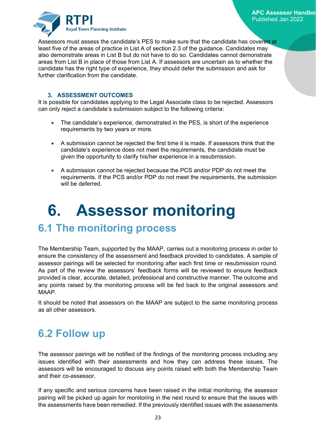

Assessors must assess the candidate's PES to make sure that the candidate has covered at least five of the areas of practice in List A of section 2.3 of the guidance. Candidates may also demonstrate areas in List B but do not have to do so. Candidates cannot demonstrate areas from List B in place of those from List A. If assessors are uncertain as to whether the candidate has the right type of experience, they should defer the submission and ask for further clarification from the candidate.

#### **3. ASSESSMENT OUTCOMES**

It is possible for candidates applying to the Legal Associate class to be rejected. Assessors can only reject a candidate's submission subject to the following criteria:

- The candidate's experience, demonstrated in the PES, is short of the experience requirements by two years or more.
- A submission cannot be rejected the first time it is made. If assessors think that the candidate's experience does not meet the requirements, the candidate must be given the opportunity to clarify his/her experience in a resubmission.
- A submission cannot be rejected because the PCS and/or PDP do not meet the requirements. If the PCS and/or PDP do not meet the requirements, the submission will be deferred.

### <span id="page-26-0"></span>**6. Assessor monitoring**

### <span id="page-26-1"></span>**6.1 The monitoring process**

The Membership Team, supported by the MAAP, carries out a monitoring process in order to ensure the consistency of the assessment and feedback provided to candidates. A sample of assessor pairings will be selected for monitoring after each first time or resubmission round. As part of the review the assessors' feedback forms will be reviewed to ensure feedback provided is clear, accurate, detailed, professional and constructive manner. The outcome and any points raised by the monitoring process will be fed back to the original assessors and MAAP.

It should be noted that assessors on the MAAP are subject to the same monitoring process as all other assessors.

### <span id="page-26-2"></span>**6.2 Follow up**

The assessor pairings will be notified of the findings of the monitoring process including any issues identified with their assessments and how they can address these issues. The assessors will be encouraged to discuss any points raised with both the Membership Team and their co-assessor.

If any specific and serious concerns have been raised in the initial monitoring, the assessor pairing will be picked up again for monitoring in the next round to ensure that the issues with the assessments have been remedied. If the previously identified issues with the assessments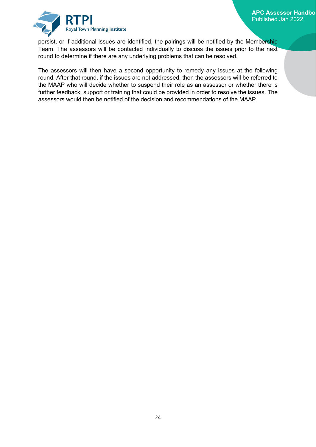

persist, or if additional issues are identified, the pairings will be notified by the Membership Team. The assessors will be contacted individually to discuss the issues prior to the next round to determine if there are any underlying problems that can be resolved.

The assessors will then have a second opportunity to remedy any issues at the following round. After that round, if the issues are not addressed, then the assessors will be referred to the MAAP who will decide whether to suspend their role as an assessor or whether there is further feedback, support or training that could be provided in order to resolve the issues. The assessors would then be notified of the decision and recommendations of the MAAP.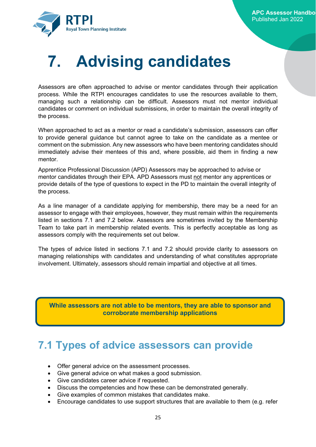

### <span id="page-28-0"></span>**7. Advising candidates**

Assessors are often approached to advise or mentor candidates through their application process. While the RTPI encourages candidates to use the resources available to them, managing such a relationship can be difficult. Assessors must not mentor individual candidates or comment on individual submissions, in order to maintain the overall integrity of the process.

When approached to act as a mentor or read a candidate's submission, assessors can offer to provide general guidance but cannot agree to take on the candidate as a mentee or comment on the submission. Any new assessors who have been mentoring candidates should immediately advise their mentees of this and, where possible, aid them in finding a new mentor.

Apprentice Professional Discussion (APD) Assessors may be approached to advise or mentor candidates through their EPA. APD Assessors must not mentor any apprentices or provide details of the type of questions to expect in the PD to maintain the overall integrity of the process.

As a line manager of a candidate applying for membership, there may be a need for an assessor to engage with their employees, however, they must remain within the requirements listed in sections 7.1 and 7.2 below. Assessors are sometimes invited by the Membership Team to take part in membership related events. This is perfectly acceptable as long as assessors comply with the requirements set out below.

The types of advice listed in sections 7.1 and 7.2 should provide clarity to assessors on managing relationships with candidates and understanding of what constitutes appropriate involvement. Ultimately, assessors should remain impartial and objective at all times.

**While assessors are not able to be mentors, they are able to sponsor and corroborate membership applications**

### <span id="page-28-1"></span>**7.1 Types of advice assessors can provide**

- Offer general advice on the assessment processes.
- Give general advice on what makes a good submission.
- Give candidates career advice if requested.
- Discuss the competencies and how these can be demonstrated generally.
- Give examples of common mistakes that candidates make.
- Encourage candidates to use support structures that are available to them (e.g. refer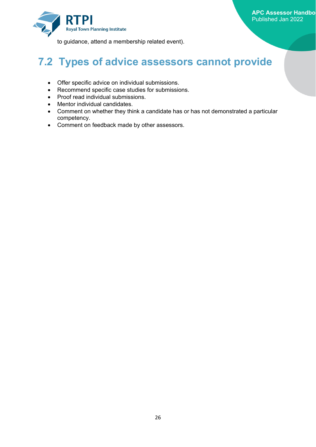

to guidance, attend a membership related event).

### <span id="page-29-0"></span>**7.2 Types of advice assessors cannot provide**

- Offer specific advice on individual submissions.
- Recommend specific case studies for submissions.
- Proof read individual submissions.
- Mentor individual candidates.
- Comment on whether they think a candidate has or has not demonstrated a particular competency.
- Comment on feedback made by other assessors.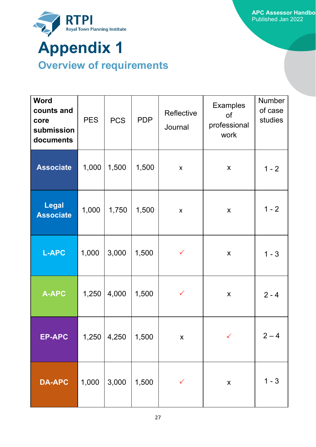

# <span id="page-30-1"></span><span id="page-30-0"></span>**Overview of requirements**

| <b>Word</b><br>counts and<br>core<br>submission<br>documents | <b>PES</b> | <b>PCS</b> | <b>PDP</b> | Reflective<br>Journal | <b>Examples</b><br>of<br>professional<br>work | <b>Number</b><br>of case<br>studies |
|--------------------------------------------------------------|------------|------------|------------|-----------------------|-----------------------------------------------|-------------------------------------|
| <b>Associate</b>                                             | 1,000      | 1,500      | 1,500      | $\pmb{\times}$        | X                                             | $1 - 2$                             |
| <b>Legal</b><br><b>Associate</b>                             | 1,000      | 1,750      | 1,500      | $\pmb{\mathsf{X}}$    | $\boldsymbol{\mathsf{X}}$                     | $1 - 2$                             |
| <b>L-APC</b>                                                 | 1,000      | 3,000      | 1,500      | $\checkmark$          | X                                             | $1 - 3$                             |
| <b>A-APC</b>                                                 | 1,250      | 4,000      | 1,500      | $\checkmark$          | X                                             | $2 - 4$                             |
| <b>EP-APC</b>                                                | 1,250      | 4,250      | 1,500      | $\pmb{\mathsf{X}}$    |                                               | $2 - 4$                             |
| <b>DA-APC</b>                                                | 1,000      | 3,000      | 1,500      | $\checkmark$          | $\pmb{\mathsf{X}}$                            | $1 - 3$                             |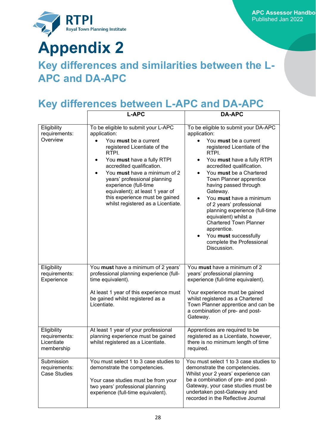

## **Appendix 2**

### **Key differences and similarities between the L-APC and DA-APC**

### **Key differences between L-APC and DA-APC**

|                                                          | <b>L-APC</b>                                                                                                                                                                                                                                                                                                                                                                                      | <b>DA-APC</b>                                                                                                                                                                                                                                                                                                                                                                                                                                                                                                                                |
|----------------------------------------------------------|---------------------------------------------------------------------------------------------------------------------------------------------------------------------------------------------------------------------------------------------------------------------------------------------------------------------------------------------------------------------------------------------------|----------------------------------------------------------------------------------------------------------------------------------------------------------------------------------------------------------------------------------------------------------------------------------------------------------------------------------------------------------------------------------------------------------------------------------------------------------------------------------------------------------------------------------------------|
| Eligibility<br>requirements:<br>Overview                 | To be eligible to submit your L-APC<br>application:<br>You must be a current<br>registered Licentiate of the<br>RTPI.<br>You must have a fully RTPI<br>accredited qualification.<br>You must have a minimum of 2<br>$\bullet$<br>years' professional planning<br>experience (full-time<br>equivalent); at least 1 year of<br>this experience must be gained<br>whilst registered as a Licentiate. | To be eligible to submit your DA-APC<br>application:<br>You must be a current<br>registered Licentiate of the<br>RTPI.<br>You must have a fully RTPI<br>$\bullet$<br>accredited qualification.<br>You must be a Chartered<br>$\bullet$<br>Town Planner apprentice<br>having passed through<br>Gateway.<br>You must have a minimum<br>of 2 years' professional<br>planning experience (full-time<br>equivalent) whilst a<br><b>Chartered Town Planner</b><br>apprentice.<br>You must successfully<br>complete the Professional<br>Discussion. |
| Eligibility<br>requirements:<br>Experience               | You must have a minimum of 2 years'<br>professional planning experience (full-<br>time equivalent).<br>At least 1 year of this experience must<br>be gained whilst registered as a<br>Licentiate.                                                                                                                                                                                                 | You must have a minimum of 2<br>years' professional planning<br>experience (full-time equivalent).<br>Your experience must be gained<br>whilst registered as a Chartered<br>Town Planner apprentice and can be<br>a combination of pre- and post-<br>Gateway.                                                                                                                                                                                                                                                                                |
| Eligibility<br>requirements:<br>Licentiate<br>membership | At least 1 year of your professional<br>planning experience must be gained<br>whilst registered as a Licentiate.                                                                                                                                                                                                                                                                                  | Apprentices are required to be<br>registered as a Licentiate, however,<br>there is no minimum length of time<br>required.                                                                                                                                                                                                                                                                                                                                                                                                                    |
| Submission<br>requirements:<br><b>Case Studies</b>       | You must select 1 to 3 case studies to<br>demonstrate the competencies.<br>Your case studies must be from your<br>two years' professional planning<br>experience (full-time equivalent).                                                                                                                                                                                                          | You must select 1 to 3 case studies to<br>demonstrate the competencies.<br>Whilst your 2 years' experience can<br>be a combination of pre- and post-<br>Gateway, your case studies must be<br>undertaken post-Gateway and<br>recorded in the Reflective Journal                                                                                                                                                                                                                                                                              |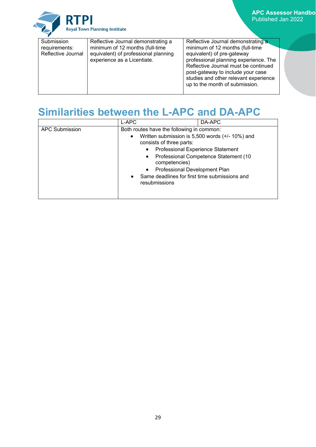**APC Assessor Handbo** Published Jan 2022

RTPI Royal Town Planning Institute

### **Similarities between the L-APC and DA-APC**

|                       | L-APC                                                                       | DA-APC                                          |
|-----------------------|-----------------------------------------------------------------------------|-------------------------------------------------|
| <b>APC Submission</b> | Both routes have the following in common:                                   |                                                 |
|                       | $\bullet$<br>consists of three parts:                                       | Written submission is 5,500 words (+/- 10%) and |
|                       | <b>Professional Experience Statement</b>                                    |                                                 |
|                       | competencies)                                                               | Professional Competence Statement (10           |
|                       | Professional Development Plan<br>$\bullet$                                  |                                                 |
|                       | Same deadlines for first time submissions and<br>$\bullet$<br>resubmissions |                                                 |
|                       |                                                                             |                                                 |